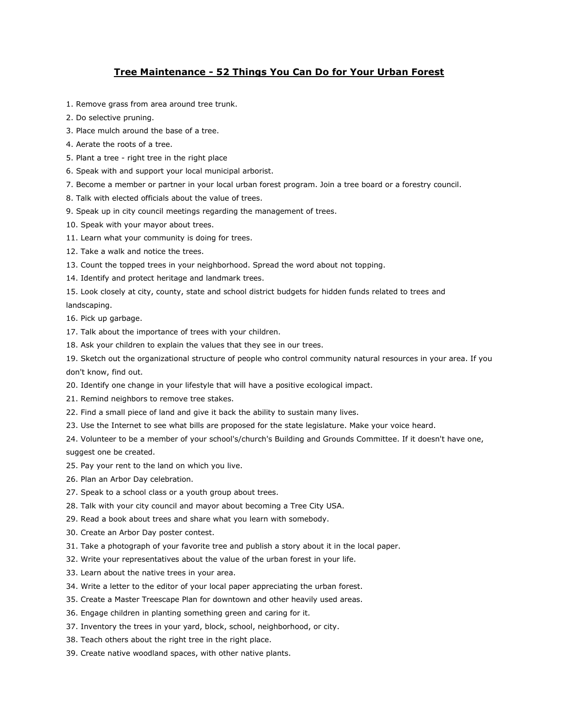# **Tree Maintenance - 52 Things You Can Do for Your Urban Forest**

- 1. Remove grass from area around tree trunk.
- 2. Do selective pruning.
- 3. Place mulch around the base of a tree.
- 4. Aerate the roots of a tree.
- 5. Plant a tree right tree in the right place
- 6. Speak with and support your local municipal arborist.
- 7. Become a member or partner in your local urban forest program. Join a tree board or a forestry council.
- 8. Talk with elected officials about the value of trees.
- 9. Speak up in city council meetings regarding the management of trees.
- 10. Speak with your mayor about trees.
- 11. Learn what your community is doing for trees.
- 12. Take a walk and notice the trees.
- 13. Count the topped trees in your neighborhood. Spread the word about not topping.
- 14. Identify and protect heritage and landmark trees.
- 15. Look closely at city, county, state and school district budgets for hidden funds related to trees and landscaping.
- 16. Pick up garbage.
- 17. Talk about the importance of trees with your children.
- 18. Ask your children to explain the values that they see in our trees.
- 19. Sketch out the organizational structure of people who control community natural resources in your area. If you don't know, find out.
- 20. Identify one change in your lifestyle that will have a positive ecological impact.
- 21. Remind neighbors to remove tree stakes.
- 22. Find a small piece of land and give it back the ability to sustain many lives.
- 23. Use the Internet to see what bills are proposed for the state legislature. Make your voice heard.
- 24. Volunteer to be a member of your school's/church's Building and Grounds Committee. If it doesn't have one, suggest one be created.
- 25. Pay your rent to the land on which you live.
- 26. Plan an Arbor Day celebration.
- 27. Speak to a school class or a youth group about trees.
- 28. Talk with your city council and mayor about becoming a Tree City USA.
- 29. Read a book about trees and share what you learn with somebody.
- 30. Create an Arbor Day poster contest.
- 31. Take a photograph of your favorite tree and publish a story about it in the local paper.
- 32. Write your representatives about the value of the urban forest in your life.
- 33. Learn about the native trees in your area.
- 34. Write a letter to the editor of your local paper appreciating the urban forest.
- 35. Create a Master Treescape Plan for downtown and other heavily used areas.
- 36. Engage children in planting something green and caring for it.
- 37. Inventory the trees in your yard, block, school, neighborhood, or city.
- 38. Teach others about the right tree in the right place.
- 39. Create native woodland spaces, with other native plants.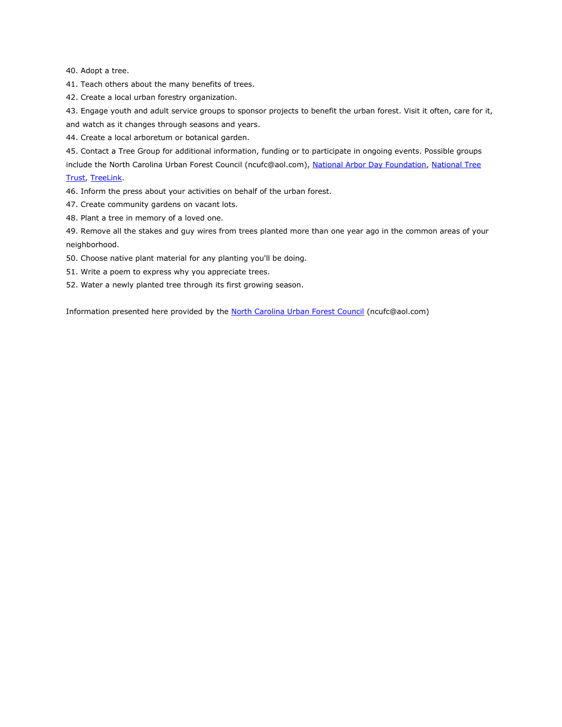40. Adopt a tree.

41. Teach others about the many benefits of trees.

42. Create a local urban forestry organization.

43. Engage youth and adult service groups to sponsor projects to benefit the urban forest. Visit it often, care for it, and watch as it changes through seasons and years.

44. Create a local arboretum or botanical garden.

45. Contact a Tree Group for additional information, funding or to participate in ongoing events. Possible groups

include the North Carolina Urban Forest Council (ncufc@aol.com), [National Arbor Day Foundation,](http://www.arborday.org/) National Tree [Trust,](http://www.nationaltreetrust.org/) [TreeLink.](http://www.treelink.org/)

46. Inform the press about your activities on behalf of the urban forest.

47. Create community gardens on vacant lots.

48. Plant a tree in memory of a loved one.

49. Remove all the stakes and guy wires from trees planted more than one year ago in the common areas of your neighborhood.

50. Choose native plant material for any planting you'll be doing.

51. Write a poem to express why you appreciate trees.

52. Water a newly planted tree through its first growing season.

Information presented here provided by the [North Carolina Urban Forest Council](mailto:ncufc@aol.com) (ncufc@aol.com)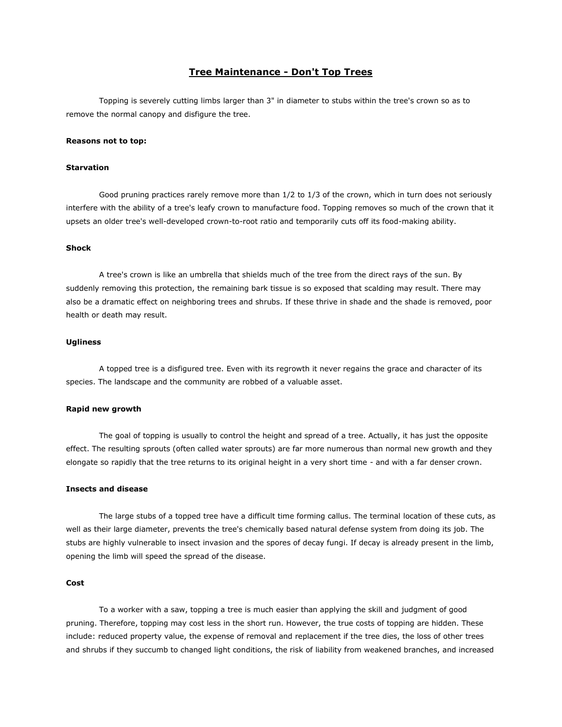# **Tree Maintenance - Don't Top Trees**

Topping is severely cutting limbs larger than 3" in diameter to stubs within the tree's crown so as to remove the normal canopy and disfigure the tree.

## **Reasons not to top:**

### **Starvation**

Good pruning practices rarely remove more than 1/2 to 1/3 of the crown, which in turn does not seriously interfere with the ability of a tree's leafy crown to manufacture food. Topping removes so much of the crown that it upsets an older tree's well-developed crown-to-root ratio and temporarily cuts off its food-making ability.

### **Shock**

A tree's crown is like an umbrella that shields much of the tree from the direct rays of the sun. By suddenly removing this protection, the remaining bark tissue is so exposed that scalding may result. There may also be a dramatic effect on neighboring trees and shrubs. If these thrive in shade and the shade is removed, poor health or death may result.

## **Ugliness**

A topped tree is a disfigured tree. Even with its regrowth it never regains the grace and character of its species. The landscape and the community are robbed of a valuable asset.

#### **Rapid new growth**

The goal of topping is usually to control the height and spread of a tree. Actually, it has just the opposite effect. The resulting sprouts (often called water sprouts) are far more numerous than normal new growth and they elongate so rapidly that the tree returns to its original height in a very short time - and with a far denser crown.

## **Insects and disease**

The large stubs of a topped tree have a difficult time forming callus. The terminal location of these cuts, as well as their large diameter, prevents the tree's chemically based natural defense system from doing its job. The stubs are highly vulnerable to insect invasion and the spores of decay fungi. If decay is already present in the limb, opening the limb will speed the spread of the disease.

#### **Cost**

To a worker with a saw, topping a tree is much easier than applying the skill and judgment of good pruning. Therefore, topping may cost less in the short run. However, the true costs of topping are hidden. These include: reduced property value, the expense of removal and replacement if the tree dies, the loss of other trees and shrubs if they succumb to changed light conditions, the risk of liability from weakened branches, and increased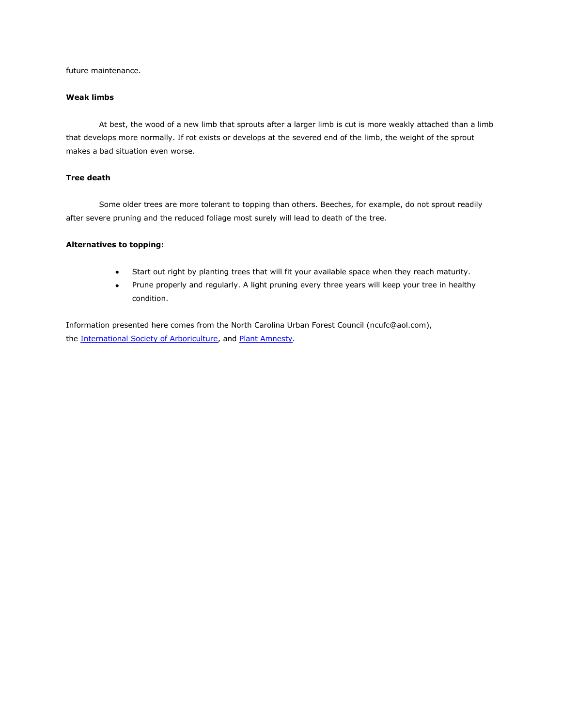future maintenance.

## **Weak limbs**

At best, the wood of a new limb that sprouts after a larger limb is cut is more weakly attached than a limb that develops more normally. If rot exists or develops at the severed end of the limb, the weight of the sprout makes a bad situation even worse.

# **Tree death**

Some older trees are more tolerant to topping than others. Beeches, for example, do not sprout readily after severe pruning and the reduced foliage most surely will lead to death of the tree.

## **Alternatives to topping:**

- Start out right by planting trees that will fit your available space when they reach maturity.  $\bullet$
- Prune properly and regularly. A light pruning every three years will keep your tree in healthy  $\bullet$  . <br> <br> : condition.

Information presented here comes from the North Carolina Urban Forest Council (ncufc@aol.com), the [International Society of Arboriculture,](http://www.isa-arbor.com/) and [Plant Amnesty.](http://www.plantamnesty.org/)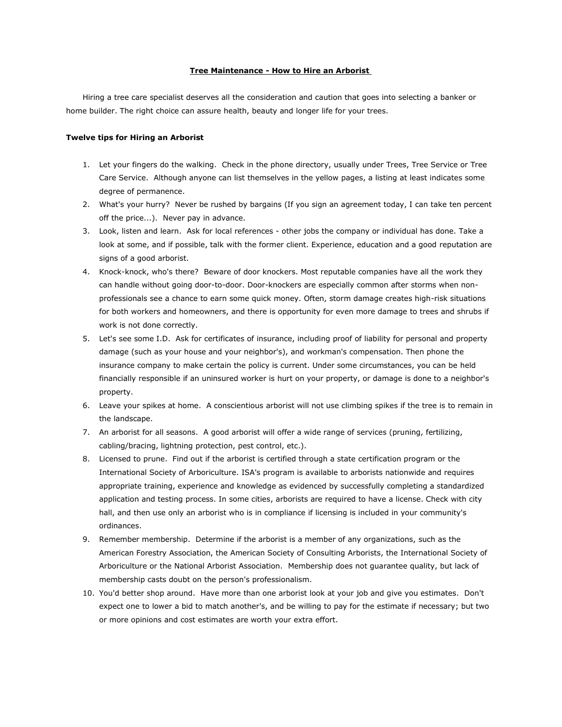# **Tree Maintenance - How to Hire an Arborist**

Hiring a tree care specialist deserves all the consideration and caution that goes into selecting a banker or home builder. The right choice can assure health, beauty and longer life for your trees.

#### **Twelve tips for Hiring an Arborist**

- 1. Let your fingers do the walking. Check in the phone directory, usually under Trees, Tree Service or Tree Care Service. Although anyone can list themselves in the yellow pages, a listing at least indicates some degree of permanence.
- 2. What's your hurry? Never be rushed by bargains (If you sign an agreement today, I can take ten percent off the price...). Never pay in advance.
- 3. Look, listen and learn. Ask for local references other jobs the company or individual has done. Take a look at some, and if possible, talk with the former client. Experience, education and a good reputation are signs of a good arborist.
- 4. Knock-knock, who's there? Beware of door knockers. Most reputable companies have all the work they can handle without going door-to-door. Door-knockers are especially common after storms when nonprofessionals see a chance to earn some quick money. Often, storm damage creates high-risk situations for both workers and homeowners, and there is opportunity for even more damage to trees and shrubs if work is not done correctly.
- 5. Let's see some I.D. Ask for certificates of insurance, including proof of liability for personal and property damage (such as your house and your neighbor's), and workman's compensation. Then phone the insurance company to make certain the policy is current. Under some circumstances, you can be held financially responsible if an uninsured worker is hurt on your property, or damage is done to a neighbor's property.
- 6. Leave your spikes at home. A conscientious arborist will not use climbing spikes if the tree is to remain in the landscape.
- 7. An arborist for all seasons. A good arborist will offer a wide range of services (pruning, fertilizing, cabling/bracing, lightning protection, pest control, etc.).
- 8. Licensed to prune. Find out if the arborist is certified through a state certification program or the International Society of Arboriculture. ISA's program is available to arborists nationwide and requires appropriate training, experience and knowledge as evidenced by successfully completing a standardized application and testing process. In some cities, arborists are required to have a license. Check with city hall, and then use only an arborist who is in compliance if licensing is included in your community's ordinances.
- 9. Remember membership. Determine if the arborist is a member of any organizations, such as the American Forestry Association, the American Society of Consulting Arborists, the International Society of Arboriculture or the National Arborist Association. Membership does not guarantee quality, but lack of membership casts doubt on the person's professionalism.
- 10. You'd better shop around. Have more than one arborist look at your job and give you estimates. Don't expect one to lower a bid to match another's, and be willing to pay for the estimate if necessary; but two or more opinions and cost estimates are worth your extra effort.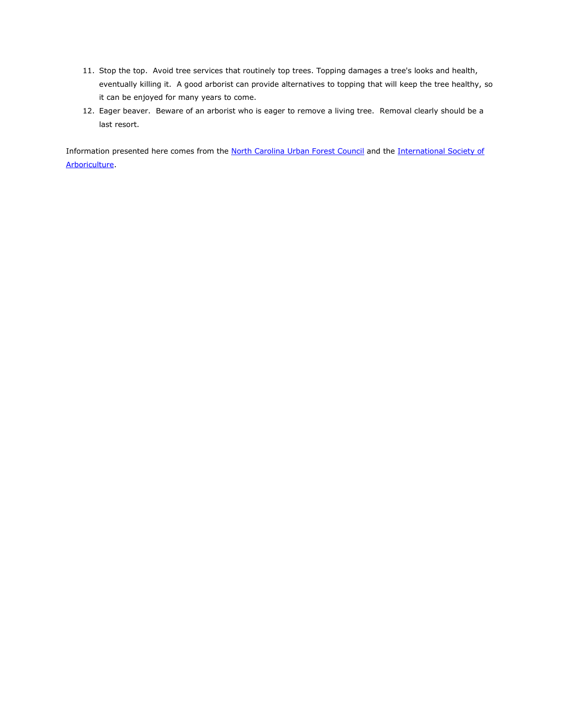- 11. Stop the top. Avoid tree services that routinely top trees. Topping damages a tree's looks and health, eventually killing it. A good arborist can provide alternatives to topping that will keep the tree healthy, so it can be enjoyed for many years to come.
- 12. Eager beaver. Beware of an arborist who is eager to remove a living tree. Removal clearly should be a last resort.

Information presented here comes from the [North Carolina Urban Forest Council](mailto:ncufc@aol.com) and the International Society of [Arboriculture.](http://www.isa-arbor.com/)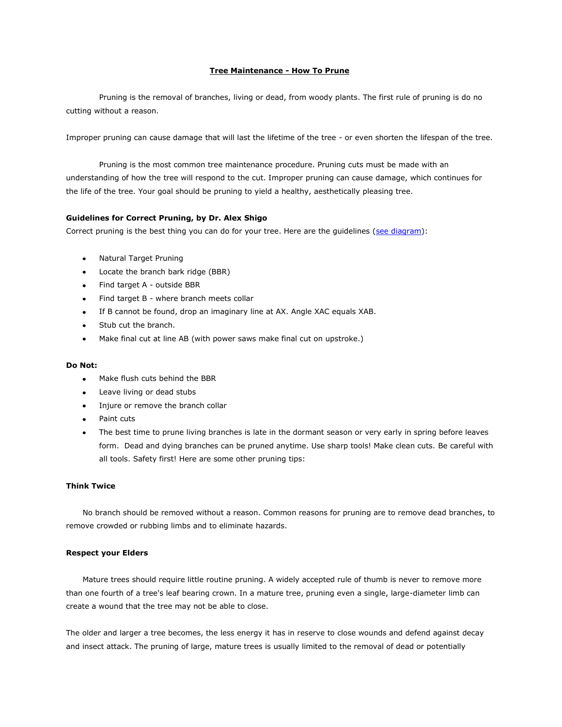## **Tree Maintenance - How To Prune**

Pruning is the removal of branches, living or dead, from woody plants. The first rule of pruning is do no cutting without a reason.

Improper pruning can cause damage that will last the lifetime of the tree - or even shorten the lifespan of the tree.

Pruning is the most common tree maintenance procedure. Pruning cuts must be made with an understanding of how the tree will respond to the cut. Improper pruning can cause damage, which continues for the life of the tree. Your goal should be pruning to yield a healthy, aesthetically pleasing tree.

## **Guidelines for Correct Pruning, by Dr. Alex Shigo**

Correct pruning is the best thing you can do for your tree. Here are the guidelines [\(see diagram\)](http://durhamnc.gov/ich/op/gs/PublishingImages/Target%20Pruning.jpg):

- Natural Target Pruning
- Locate the branch bark ridge (BBR)
- Find target A outside BBR
- Find target B where branch meets collar  $\bullet$
- If B cannot be found, drop an imaginary line at AX. Angle XAC equals XAB.  $\bullet$
- Stub cut the branch.
- Make final cut at line AB (with power saws make final cut on upstroke.)

#### **Do Not:**

- Make flush cuts behind the BBR  $\bullet$
- Leave living or dead stubs
- Injure or remove the branch collar
- Paint cuts
- The best time to prune living branches is late in the dormant season or very early in spring before leaves  $\bullet$ form. Dead and dying branches can be pruned anytime. Use sharp tools! Make clean cuts. Be careful with all tools. Safety first! Here are some other pruning tips:

# **Think Twice**

No branch should be removed without a reason. Common reasons for pruning are to remove dead branches, to remove crowded or rubbing limbs and to eliminate hazards.

#### **Respect your Elders**

Mature trees should require little routine pruning. A widely accepted rule of thumb is never to remove more than one fourth of a tree's leaf bearing crown. In a mature tree, pruning even a single, large-diameter limb can create a wound that the tree may not be able to close.

The older and larger a tree becomes, the less energy it has in reserve to close wounds and defend against decay and insect attack. The pruning of large, mature trees is usually limited to the removal of dead or potentially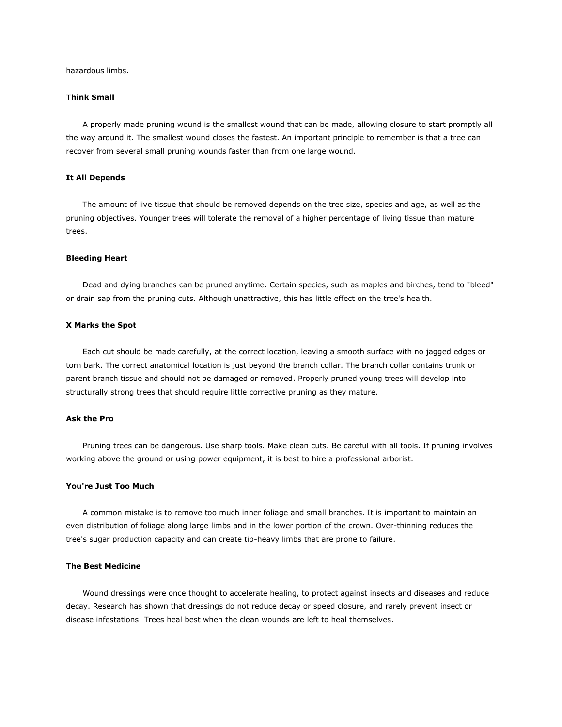hazardous limbs.

#### **Think Small**

A properly made pruning wound is the smallest wound that can be made, allowing closure to start promptly all the way around it. The smallest wound closes the fastest. An important principle to remember is that a tree can recover from several small pruning wounds faster than from one large wound.

## **It All Depends**

The amount of live tissue that should be removed depends on the tree size, species and age, as well as the pruning objectives. Younger trees will tolerate the removal of a higher percentage of living tissue than mature trees.

#### **Bleeding Heart**

Dead and dying branches can be pruned anytime. Certain species, such as maples and birches, tend to "bleed" or drain sap from the pruning cuts. Although unattractive, this has little effect on the tree's health.

#### **X Marks the Spot**

Each cut should be made carefully, at the correct location, leaving a smooth surface with no jagged edges or torn bark. The correct anatomical location is just beyond the branch collar. The branch collar contains trunk or parent branch tissue and should not be damaged or removed. Properly pruned young trees will develop into structurally strong trees that should require little corrective pruning as they mature.

### **Ask the Pro**

Pruning trees can be dangerous. Use sharp tools. Make clean cuts. Be careful with all tools. If pruning involves working above the ground or using power equipment, it is best to hire a professional arborist.

### **You're Just Too Much**

A common mistake is to remove too much inner foliage and small branches. It is important to maintain an even distribution of foliage along large limbs and in the lower portion of the crown. Over-thinning reduces the tree's sugar production capacity and can create tip-heavy limbs that are prone to failure.

# **The Best Medicine**

Wound dressings were once thought to accelerate healing, to protect against insects and diseases and reduce decay. Research has shown that dressings do not reduce decay or speed closure, and rarely prevent insect or disease infestations. Trees heal best when the clean wounds are left to heal themselves.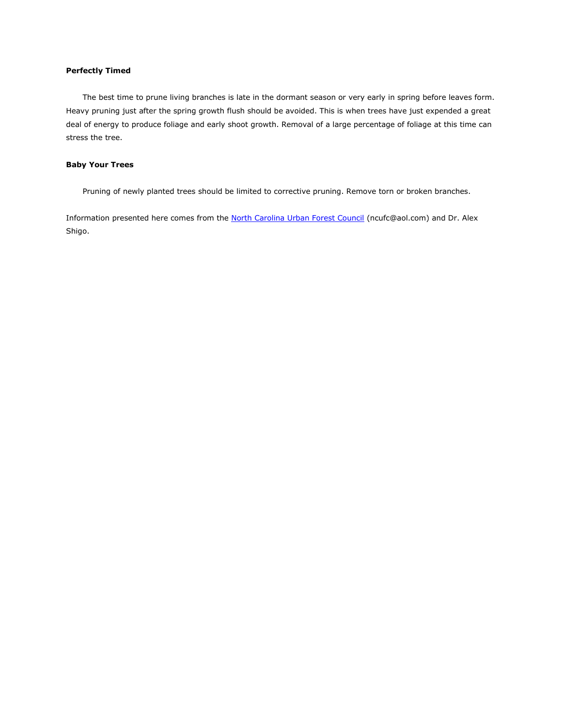# **Perfectly Timed**

The best time to prune living branches is late in the dormant season or very early in spring before leaves form. Heavy pruning just after the spring growth flush should be avoided. This is when trees have just expended a great deal of energy to produce foliage and early shoot growth. Removal of a large percentage of foliage at this time can stress the tree.

## **Baby Your Trees**

Pruning of newly planted trees should be limited to corrective pruning. Remove torn or broken branches.

Information presented here comes from the [North Carolina Urban Forest Council](mailto:ncufc@aol.com) (ncufc@aol.com) and Dr. Alex Shigo.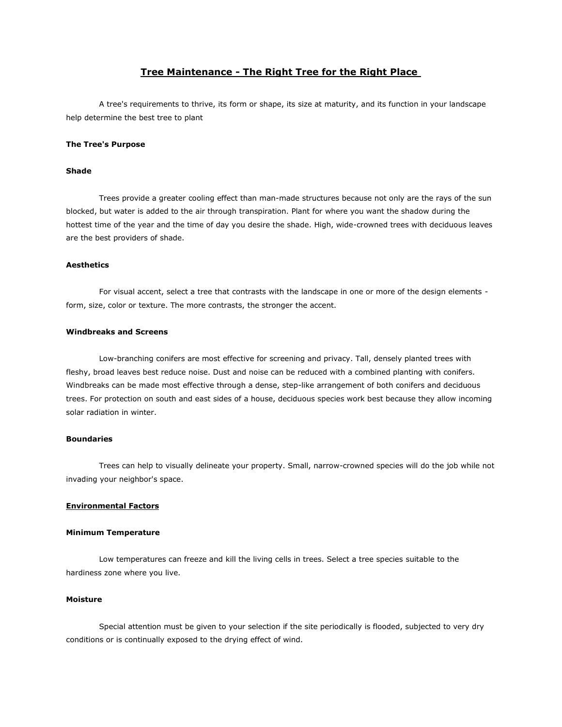# **Tree Maintenance - The Right Tree for the Right Place**

A tree's requirements to thrive, its form or shape, its size at maturity, and its function in your landscape help determine the best tree to plant

#### **The Tree's Purpose**

#### **Shade**

Trees provide a greater cooling effect than man-made structures because not only are the rays of the sun blocked, but water is added to the air through transpiration. Plant for where you want the shadow during the hottest time of the year and the time of day you desire the shade. High, wide-crowned trees with deciduous leaves are the best providers of shade.

### **Aesthetics**

For visual accent, select a tree that contrasts with the landscape in one or more of the design elements form, size, color or texture. The more contrasts, the stronger the accent.

## **Windbreaks and Screens**

Low-branching conifers are most effective for screening and privacy. Tall, densely planted trees with fleshy, broad leaves best reduce noise. Dust and noise can be reduced with a combined planting with conifers. Windbreaks can be made most effective through a dense, step-like arrangement of both conifers and deciduous trees. For protection on south and east sides of a house, deciduous species work best because they allow incoming solar radiation in winter.

# **Boundaries**

Trees can help to visually delineate your property. Small, narrow-crowned species will do the job while not invading your neighbor's space.

#### **Environmental Factors**

#### **Minimum Temperature**

Low temperatures can freeze and kill the living cells in trees. Select a tree species suitable to the hardiness zone where you live.

## **Moisture**

Special attention must be given to your selection if the site periodically is flooded, subjected to very dry conditions or is continually exposed to the drying effect of wind.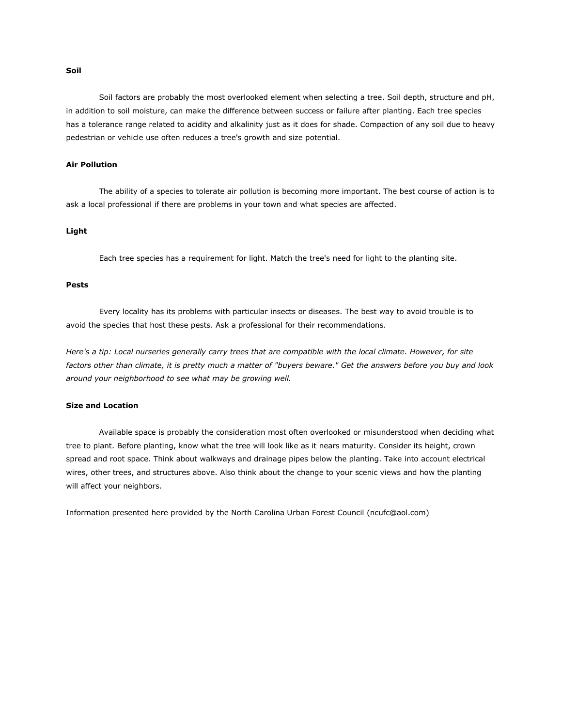#### **Air Pollution**

The ability of a species to tolerate air pollution is becoming more important. The best course of action is to ask a local professional if there are problems in your town and what species are affected.

in addition to soil moisture, can make the difference between success or failure after planting. Each tree species has a tolerance range related to acidity and alkalinity just as it does for shade. Compaction of any soil due to heavy

pedestrian or vehicle use often reduces a tree's growth and size potential.

Soil factors are probably the most overlooked element when selecting a tree. Soil depth, structure and pH,

## **Light**

Each tree species has a requirement for light. Match the tree's need for light to the planting site.

#### **Pests**

Every locality has its problems with particular insects or diseases. The best way to avoid trouble is to avoid the species that host these pests. Ask a professional for their recommendations.

*Here's a tip: Local nurseries generally carry trees that are compatible with the local climate. However, for site factors other than climate, it is pretty much a matter of "buyers beware." Get the answers before you buy and look around your neighborhood to see what may be growing well.*

### **Size and Location**

Available space is probably the consideration most often overlooked or misunderstood when deciding what tree to plant. Before planting, know what the tree will look like as it nears maturity. Consider its height, crown spread and root space. Think about walkways and drainage pipes below the planting. Take into account electrical wires, other trees, and structures above. Also think about the change to your scenic views and how the planting will affect your neighbors.

Information presented here provided by the North Carolina Urban Forest Council (ncufc@aol.com)

## **Soil**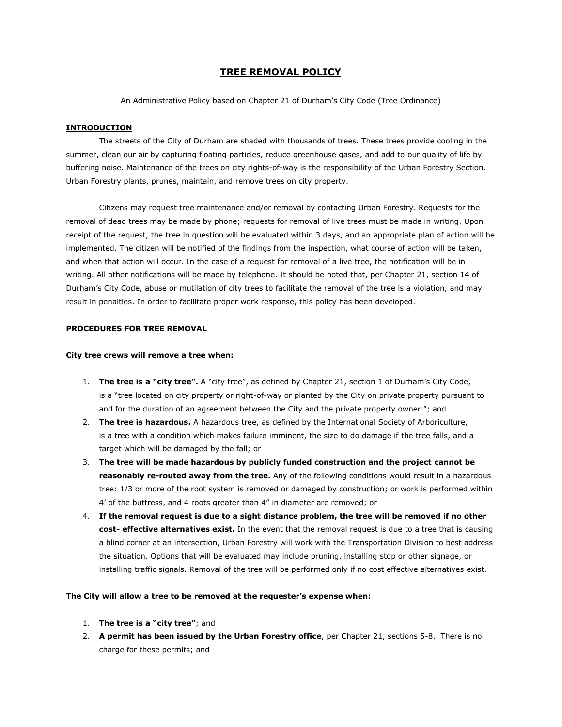# **TREE REMOVAL POLICY**

An Administrative Policy based on Chapter 21 of Durham's City Code (Tree Ordinance)

## **INTRODUCTION**

The streets of the City of Durham are shaded with thousands of trees. These trees provide cooling in the summer, clean our air by capturing floating particles, reduce greenhouse gases, and add to our quality of life by buffering noise. Maintenance of the trees on city rights-of-way is the responsibility of the Urban Forestry Section. Urban Forestry plants, prunes, maintain, and remove trees on city property.

Citizens may request tree maintenance and/or removal by contacting Urban Forestry. Requests for the removal of dead trees may be made by phone; requests for removal of live trees must be made in writing. Upon receipt of the request, the tree in question will be evaluated within 3 days, and an appropriate plan of action will be implemented. The citizen will be notified of the findings from the inspection, what course of action will be taken, and when that action will occur. In the case of a request for removal of a live tree, the notification will be in writing. All other notifications will be made by telephone. It should be noted that, per Chapter 21, section 14 of Durham's City Code, abuse or mutilation of city trees to facilitate the removal of the tree is a violation, and may result in penalties. In order to facilitate proper work response, this policy has been developed.

## **PROCEDURES FOR TREE REMOVAL**

#### **City tree crews will remove a tree when:**

- 1. **The tree is a "city tree".** A "city tree", as defined by Chapter 21, section 1 of Durham's City Code, is a "tree located on city property or right-of-way or planted by the City on private property pursuant to and for the duration of an agreement between the City and the private property owner."; and
- 2. **The tree is hazardous.** A hazardous tree, as defined by the International Society of Arboriculture, is a tree with a condition which makes failure imminent, the size to do damage if the tree falls, and a target which will be damaged by the fall; or
- 3. **The tree will be made hazardous by publicly funded construction and the project cannot be reasonably re-routed away from the tree.** Any of the following conditions would result in a hazardous tree: 1/3 or more of the root system is removed or damaged by construction; or work is performed within 4' of the buttress, and 4 roots greater than 4" in diameter are removed; or
- 4. **If the removal request is due to a sight distance problem, the tree will be removed if no other cost- effective alternatives exist.** In the event that the removal request is due to a tree that is causing a blind corner at an intersection, Urban Forestry will work with the Transportation Division to best address the situation. Options that will be evaluated may include pruning, installing stop or other signage, or installing traffic signals. Removal of the tree will be performed only if no cost effective alternatives exist.

## **The City will allow a tree to be removed at the requester's expense when:**

- 1. **The tree is a "city tree"**; and
- 2. **A permit has been issued by the Urban Forestry office**, per Chapter 21, sections 5-8. There is no charge for these permits; and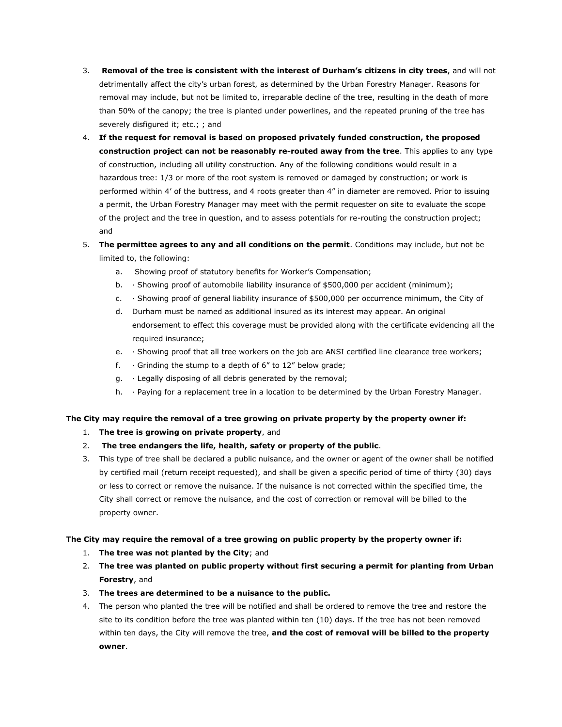- 3. **Removal of the tree is consistent with the interest of Durham's citizens in city trees**, and will not detrimentally affect the city's urban forest, as determined by the Urban Forestry Manager. Reasons for removal may include, but not be limited to, irreparable decline of the tree, resulting in the death of more than 50% of the canopy; the tree is planted under powerlines, and the repeated pruning of the tree has severely disfigured it; etc.; ; and
- 4. **If the request for removal is based on proposed privately funded construction, the proposed construction project can not be reasonably re-routed away from the tree**. This applies to any type of construction, including all utility construction. Any of the following conditions would result in a hazardous tree: 1/3 or more of the root system is removed or damaged by construction; or work is performed within 4' of the buttress, and 4 roots greater than 4" in diameter are removed. Prior to issuing a permit, the Urban Forestry Manager may meet with the permit requester on site to evaluate the scope of the project and the tree in question, and to assess potentials for re-routing the construction project; and
- 5. **The permittee agrees to any and all conditions on the permit**. Conditions may include, but not be limited to, the following:
	- a. Showing proof of statutory benefits for Worker's Compensation;
	- b. · Showing proof of automobile liability insurance of \$500,000 per accident (minimum);
	- c. · Showing proof of general liability insurance of \$500,000 per occurrence minimum, the City of
	- d. Durham must be named as additional insured as its interest may appear. An original endorsement to effect this coverage must be provided along with the certificate evidencing all the required insurance;
	- e. · Showing proof that all tree workers on the job are ANSI certified line clearance tree workers;
	- f.  $\cdot$  Grinding the stump to a depth of 6" to 12" below grade;
	- g. · Legally disposing of all debris generated by the removal;
	- h. · Paying for a replacement tree in a location to be determined by the Urban Forestry Manager.

#### **The City may require the removal of a tree growing on private property by the property owner if:**

- 1. **The tree is growing on private property**, and
- 2. **The tree endangers the life, health, safety or property of the public**.
- 3. This type of tree shall be declared a public nuisance, and the owner or agent of the owner shall be notified by certified mail (return receipt requested), and shall be given a specific period of time of thirty (30) days or less to correct or remove the nuisance. If the nuisance is not corrected within the specified time, the City shall correct or remove the nuisance, and the cost of correction or removal will be billed to the property owner.

#### **The City may require the removal of a tree growing on public property by the property owner if:**

- 1. **The tree was not planted by the City**; and
- 2. **The tree was planted on public property without first securing a permit for planting from Urban Forestry**, and
- 3. **The trees are determined to be a nuisance to the public.**
- 4. The person who planted the tree will be notified and shall be ordered to remove the tree and restore the site to its condition before the tree was planted within ten (10) days. If the tree has not been removed within ten days, the City will remove the tree, **and the cost of removal will be billed to the property owner**.